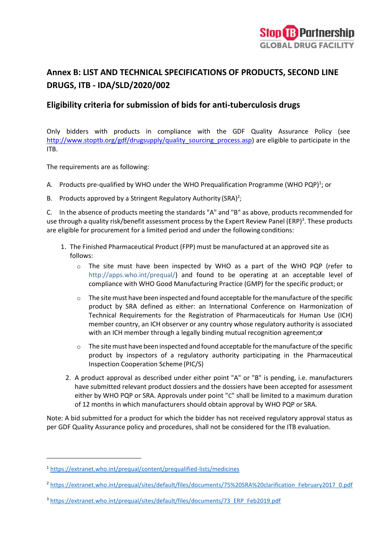# **Annex B: LIST AND TECHNICAL SPECIFICATIONS OF PRODUCTS, SECOND LINE DRUGS, ITB - IDA/SLD/2020/002**

## **Eligibility criteria for submission of bids for anti-tuberculosis drugs**

Only bidders with products in compliance with the GDF Quality Assurance Policy (see [http://www.stoptb.org/gdf/drugsupply/quality\\_sourcing\\_process.asp\)](http://www.stoptb.org/gdf/drugsupply/quality_sourcing_process.asp) are eligible to participate in the ITB.

The requirements are as following:

- A. Products pre-qualified by WHO under the WHO Prequalification Programme (WHO PQP)<sup>1</sup>; or
- B. Products approved by a Stringent Regulatory Authority (SRA)<sup>2</sup>;

C. In the absence of products meeting the standards "A" and "B" as above, products recommended for use through a quality risk/benefit assessment process by the Expert Review Panel (ERP)<sup>3</sup>. These products are eligible for procurement for a limited period and under the following conditions:

- 1. The Finished Pharmaceutical Product (FPP) must be manufactured at an approved site as follows:
	- o The site must have been inspected by WHO as a part of the WHO PQP (refer to [http://apps.who.int/prequal/\)](http://apps.who.int/prequal/) and found to be operating at an acceptable level of compliance with WHO Good Manufacturing Practice (GMP) for the specific product; or
	- $\circ$  The site must have been inspected and found acceptable for the manufacture of the specific product by SRA defined as either: an International Conference on Harmonization of Technical Requirements for the Registration of Pharmaceuticals for Human Use (ICH) member country, an ICH observer or any country whose regulatory authority is associated with an ICH member through a legally binding mutual recognition agreement; or
	- $\circ$  The site must have been inspected and found acceptable for the manufacture of the specific product by inspectors of a regulatory authority participating in the Pharmaceutical Inspection Cooperation Scheme (PIC/S)
	- 2. A product approval as described under either point "A" or "B" is pending, i.e. manufacturers have submitted relevant product dossiers and the dossiers have been accepted for assessment either by WHO PQP or SRA. Approvals under point "C" shall be limited to a maximum duration of 12 months in which manufacturers should obtain approval by WHO PQP or SRA.

Note: A bid submitted for a product for which the bidder has not received regulatory approval status as per GDF Quality Assurance policy and procedures, shall not be considered for the ITB evaluation.

<sup>1</sup> <https://extranet.who.int/prequal/content/prequalified-lists/medicines>

<sup>2</sup> [https://extranet.who.int/prequal/sites/default/files/documents/75%20SRA%20clarification\\_February2017\\_0.pdf](https://extranet.who.int/prequal/sites/default/files/documents/75%20SRA%20clarification_February2017_0.pdf)

<sup>&</sup>lt;sup>3</sup> https://extranet.who.int/prequal/sites/default/files/documents/73\_ERP\_Feb2019.pdf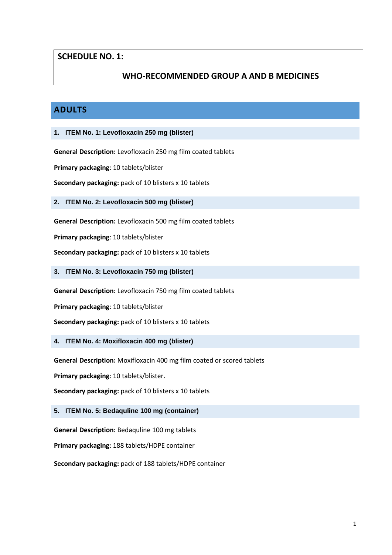## **SCHEDULE NO. 1:**

## **WHO-RECOMMENDED GROUP A AND B MEDICINES**

## **ADULTS**

### **1. ITEM No. 1: Levofloxacin 250 mg (blister)**

**General Description:** Levofloxacin 250 mg film coated tablets

**Primary packaging**: 10 tablets/blister

**Secondary packaging:** pack of 10 blisters x 10 tablets

**2. ITEM No. 2: Levofloxacin 500 mg (blister)**

**General Description:** Levofloxacin 500 mg film coated tablets

**Primary packaging**: 10 tablets/blister

**Secondary packaging:** pack of 10 blisters x 10 tablets

**3. ITEM No. 3: Levofloxacin 750 mg (blister)**

**General Description:** Levofloxacin 750 mg film coated tablets

**Primary packaging**: 10 tablets/blister

**Secondary packaging:** pack of 10 blisters x 10 tablets

**4. ITEM No. 4: Moxifloxacin 400 mg (blister)**

**General Description:** Moxifloxacin 400 mg film coated or scored tablets

**Primary packaging**: 10 tablets/blister.

**Secondary packaging:** pack of 10 blisters x 10 tablets

### **5. ITEM No. 5: Bedaquline 100 mg (container)**

**General Description:** Bedaquline 100 mg tablets

**Primary packaging**: 188 tablets/HDPE container

**Secondary packaging:** pack of 188 tablets/HDPE container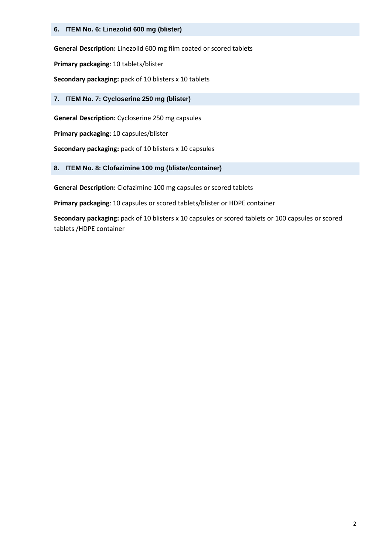### **6. ITEM No. 6: Linezolid 600 mg (blister)**

**General Description:** Linezolid 600 mg film coated or scored tablets

**Primary packaging**: 10 tablets/blister

**Secondary packaging:** pack of 10 blisters x 10 tablets

### **7. ITEM No. 7: Cycloserine 250 mg (blister)**

**General Description:** Cycloserine 250 mg capsules

**Primary packaging**: 10 capsules/blister

**Secondary packaging:** pack of 10 blisters x 10 capsules

### **8. ITEM No. 8: Clofazimine 100 mg (blister/container)**

**General Description:** Clofazimine 100 mg capsules or scored tablets

**Primary packaging**: 10 capsules or scored tablets/blister or HDPE container

**Secondary packaging:** pack of 10 blisters x 10 capsules or scored tablets or 100 capsules or scored tablets /HDPE container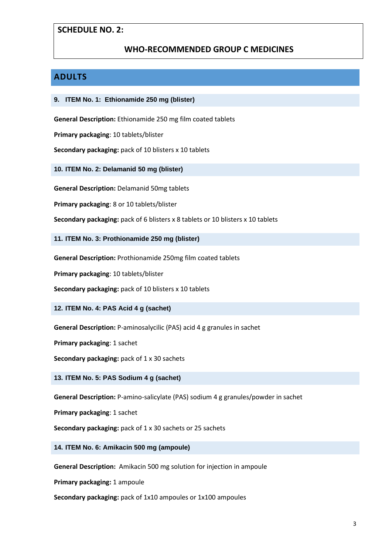### **SCHEDULE NO. 2:**

## **WHO-RECOMMENDED GROUP C MEDICINES**

## **ADULTS**

#### **9. ITEM No. 1: Ethionamide 250 mg (blister)**

**General Description:** Ethionamide 250 mg film coated tablets

**Primary packaging**: 10 tablets/blister

**Secondary packaging:** pack of 10 blisters x 10 tablets

**10. ITEM No. 2: Delamanid 50 mg (blister)**

**General Description:** Delamanid 50mg tablets

**Primary packaging**: 8 or 10 tablets/blister

**Secondary packaging:** pack of 6 blisters x 8 tablets or 10 blisters x 10 tablets

**11. ITEM No. 3: Prothionamide 250 mg (blister)**

**General Description:** Prothionamide 250mg film coated tablets

**Primary packaging**: 10 tablets/blister

**Secondary packaging:** pack of 10 blisters x 10 tablets

**12. ITEM No. 4: PAS Acid 4 g (sachet)**

**General Description:** P-aminosalycilic (PAS) acid 4 g granules in sachet

**Primary packaging**: 1 sachet

**Secondary packaging:** pack of 1 x 30 sachets

**13. ITEM No. 5: PAS Sodium 4 g (sachet)**

**General Description:** P-amino-salicylate (PAS) sodium 4 g granules/powder in sachet

**Primary packaging**: 1 sachet

**Secondary packaging:** pack of 1 x 30 sachets or 25 sachets

**14. ITEM No. 6: Amikacin 500 mg (ampoule)**

**General Description:** Amikacin 500 mg solution for injection in ampoule

**Primary packaging:** 1 ampoule

**Secondary packaging:** pack of 1x10 ampoules or 1x100 ampoules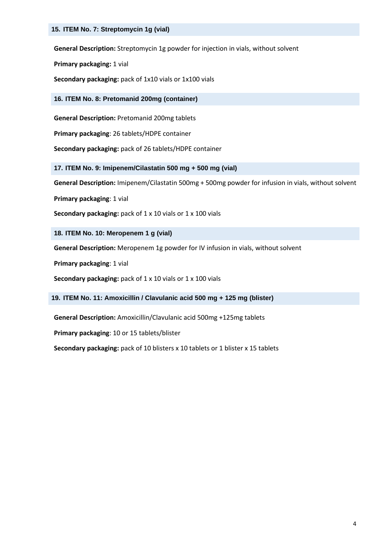**General Description:** Streptomycin 1g powder for injection in vials, without solvent

**Primary packaging:** 1 vial

**Secondary packaging:** pack of 1x10 vials or 1x100 vials

**16. ITEM No. 8: Pretomanid 200mg (container)**

**General Description:** Pretomanid 200mg tablets

**Primary packaging**: 26 tablets/HDPE container

**Secondary packaging:** pack of 26 tablets/HDPE container

**17. ITEM No. 9: Imipenem/Cilastatin 500 mg + 500 mg (vial)**

**General Description:** Imipenem/Cilastatin 500mg + 500mg powder for infusion in vials, without solvent

**Primary packaging**: 1 vial

**Secondary packaging:** pack of 1 x 10 vials or 1 x 100 vials

**18. ITEM No. 10: Meropenem 1 g (vial)**

**General Description:** Meropenem 1g powder for IV infusion in vials, without solvent

**Primary packaging**: 1 vial

**Secondary packaging:** pack of 1 x 10 vials or 1 x 100 vials

**19. ITEM No. 11: Amoxicillin / Clavulanic acid 500 mg + 125 mg (blister)**

**General Description:** Amoxicillin/Clavulanic acid 500mg +125mg tablets

**Primary packaging**: 10 or 15 tablets/blister

**Secondary packaging:** pack of 10 blisters x 10 tablets or 1 blister x 15 tablets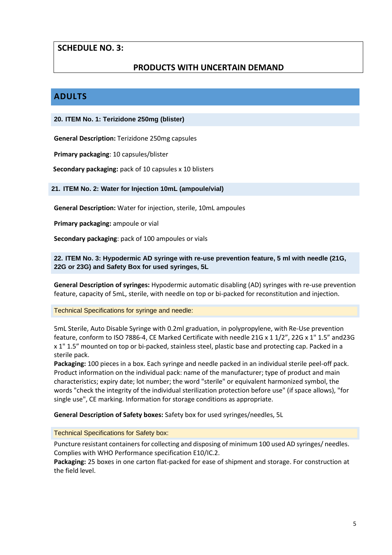## **SCHEDULE NO. 3:**

## **PRODUCTS WITH UNCERTAIN DEMAND**

## **ADULTS**

### **20. ITEM No. 1: Terizidone 250mg (blister)**

**General Description:** Terizidone 250mg capsules

**Primary packaging**: 10 capsules/blister

 **Secondary packaging:** pack of 10 capsules x 10 blisters

### **21. ITEM No. 2: Water for Injection 10mL (ampoule/vial)**

**General Description:** Water for injection, sterile, 10mL ampoules

**Primary packaging:** ampoule or vial

**Secondary packaging**: pack of 100 ampoules or vials

### **22. ITEM No. 3: Hypodermic AD syringe with re-use prevention feature, 5 ml with needle (21G, 22G or 23G) and Safety Box for used syringes, 5L**

**General Description of syringes:** Hypodermic automatic disabling (AD) syringes with re-use prevention feature, capacity of 5mL, sterile, with needle on top or bi-packed for reconstitution and injection.

### Technical Specifications for syringe and needle:

5mL Sterile, Auto Disable Syringe with 0.2ml graduation, in polypropylene, with Re-Use prevention feature, conform to ISO 7886-4, CE Marked Certificate with needle 21G x 1 1/2", 22G x 1" 1.5" and23G x 1" 1.5" mounted on top or bi-packed, stainless steel, plastic base and protecting cap. Packed in a sterile pack.

**Packaging:** 100 pieces in a box. Each syringe and needle packed in an individual sterile peel-off pack. Product information on the individual pack: name of the manufacturer; type of product and main characteristics; expiry date; lot number; the word "sterile" or equivalent harmonized symbol, the words "check the integrity of the individual sterilization protection before use" (if space allows), "for single use", CE marking. Information for storage conditions as appropriate.

**General Description of Safety boxes:** Safety box for used syringes/needles, 5L

### Technical Specifications for Safety box:

Puncture resistant containers for collecting and disposing of minimum 100 used AD syringes/ needles. Complies with WHO Performance specification E10/IC.2.

**Packaging:** 25 boxes in one carton flat-packed for ease of shipment and storage. For construction at the field level.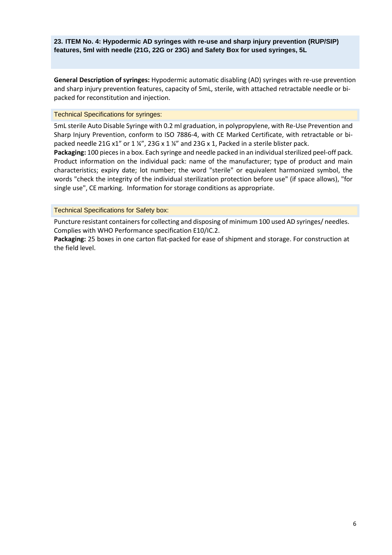**23. ITEM No. 4: Hypodermic AD syringes with re-use and sharp injury prevention (RUP/SIP) features, 5ml with needle (21G, 22G or 23G) and Safety Box for used syringes, 5L**

**General Description of syringes:** Hypodermic automatic disabling (AD) syringes with re-use prevention and sharp injury prevention features, capacity of 5mL, sterile, with attached retractable needle or bipacked for reconstitution and injection.

#### Technical Specifications for syringes:

5mL sterile Auto Disable Syringe with 0.2 ml graduation, in polypropylene, with Re-Use Prevention and Sharp Injury Prevention, conform to ISO 7886-4, with CE Marked Certificate, with retractable or bipacked needle 21G x1" or 1 ¼", 23G x 1 ¼" and 23G x 1, Packed in a sterile blister pack.

Packaging: 100 pieces in a box. Each syringe and needle packed in an individual sterilized peel-off pack. Product information on the individual pack: name of the manufacturer; type of product and main characteristics; expiry date; lot number; the word "sterile" or equivalent harmonized symbol, the words "check the integrity of the individual sterilization protection before use" (if space allows), "for single use", CE marking. Information for storage conditions as appropriate.

### Technical Specifications for Safety box:

Puncture resistant containers for collecting and disposing of minimum 100 used AD syringes/ needles. Complies with WHO Performance specification E10/IC.2.

**Packaging:** 25 boxes in one carton flat-packed for ease of shipment and storage. For construction at the field level.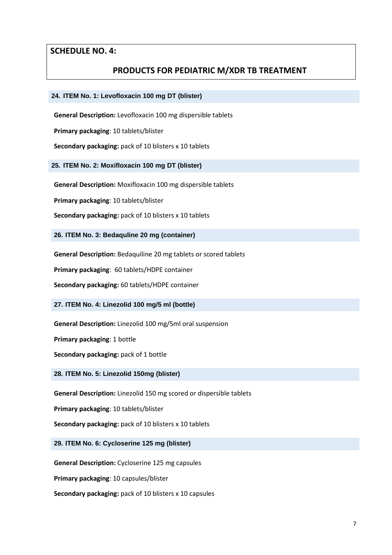### **SCHEDULE NO. 4:**

### **PRODUCTS FOR PEDIATRIC M/XDR TB TREATMENT**

#### **24. ITEM No. 1: Levofloxacin 100 mg DT (blister)**

**General Description:** Levofloxacin 100 mg dispersible tablets

**Primary packaging**: 10 tablets/blister

**Secondary packaging:** pack of 10 blisters x 10 tablets

**25. ITEM No. 2: Moxifloxacin 100 mg DT (blister)**

**General Description:** Moxifloxacin 100 mg dispersible tablets

**Primary packaging**: 10 tablets/blister

**Secondary packaging:** pack of 10 blisters x 10 tablets

**26. ITEM No. 3: Bedaquline 20 mg (container)**

**General Description:** Bedaquiline 20 mg tablets or scored tablets

**Primary packaging**: 60 tablets/HDPE container

**Secondary packaging:** 60 tablets/HDPE container

**27. ITEM No. 4: Linezolid 100 mg/5 ml (bottle)**

**General Description:** Linezolid 100 mg/5ml oral suspension

**Primary packaging**: 1 bottle

**Secondary packaging:** pack of 1 bottle

**28. ITEM No. 5: Linezolid 150mg (blister)**

**General Description:** Linezolid 150 mg scored or dispersible tablets

**Primary packaging**: 10 tablets/blister

**Secondary packaging:** pack of 10 blisters x 10 tablets

**29. ITEM No. 6: Cycloserine 125 mg (blister)**

**General Description:** Cycloserine 125 mg capsules

**Primary packaging**: 10 capsules/blister

**Secondary packaging:** pack of 10 blisters x 10 capsules